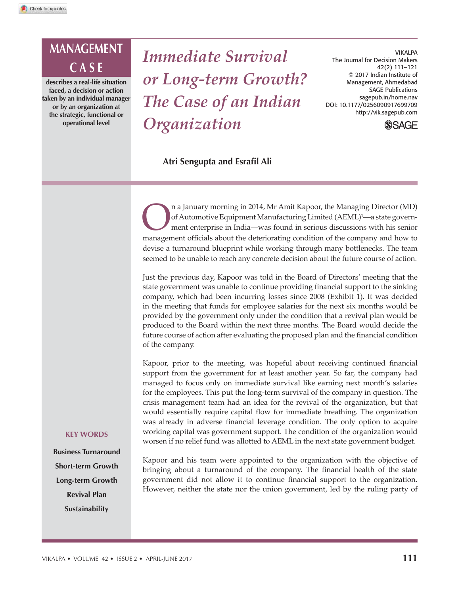# **MANAGEMENT C A S E**

**describes a real-life situation faced, a decision or action taken by an individual manager or by an organization at the strategic, functional or operational level**

*Immediate Survival or Long-term Growth? The Case of an Indian Organization*

VIKALPA The Journal for Decision Makers 42(2) 111–121 © 2017 Indian Institute of Management, Ahmedabad SAGE Publications sagepub.in/home.nav DOI: 10.1177/0256090917699709 http://vik.sagepub.com



**Atri Sengupta and Esrafil Ali**

n a January morning in 2014, Mr Amit Kapoor, the Managing Director (MD) of Automotive Equipment Manufacturing Limited (AEML)<sup>1</sup>—a state government enterprise in India—was found in serious discussions with his senior manage n a January morning in 2014, Mr Amit Kapoor, the Managing Director (MD) of Automotive Equipment Manufacturing Limited (AEML)1—a state government enterprise in India—was found in serious discussions with his senior devise a turnaround blueprint while working through many bottlenecks. The team seemed to be unable to reach any concrete decision about the future course of action.

Just the previous day, Kapoor was told in the Board of Directors' meeting that the state government was unable to continue providing financial support to the sinking company, which had been incurring losses since 2008 (Exhibit 1). It was decided in the meeting that funds for employee salaries for the next six months would be provided by the government only under the condition that a revival plan would be produced to the Board within the next three months. The Board would decide the future course of action after evaluating the proposed plan and the financial condition of the company.

Kapoor, prior to the meeting, was hopeful about receiving continued financial support from the government for at least another year. So far, the company had managed to focus only on immediate survival like earning next month's salaries for the employees. This put the long-term survival of the company in question. The crisis management team had an idea for the revival of the organization, but that would essentially require capital flow for immediate breathing. The organization was already in adverse financial leverage condition. The only option to acquire working capital was government support. The condition of the organization would worsen if no relief fund was allotted to AEML in the next state government budget.

#### **KEY WORDS**

**Business Turnaround Short-term Growth Long-term Growth Revival Plan Sustainability**

Kapoor and his team were appointed to the organization with the objective of bringing about a turnaround of the company. The financial health of the state government did not allow it to continue financial support to the organization. However, neither the state nor the union government, led by the ruling party of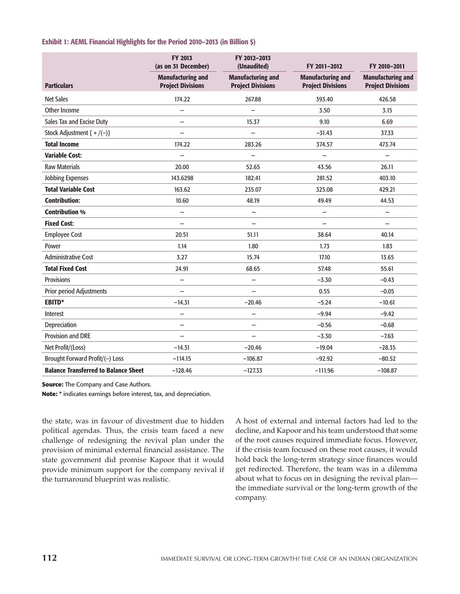# Exhibit 1: AEML Financial Highlights for the Period 2010–2013 (in Billion \$)

|                                             | <b>FY 2013</b><br>(as on 31 December)                | FY 2012-2013<br>(Unaudited)                          | FY 2011-2012                                         | FY 2010-2011                                         |
|---------------------------------------------|------------------------------------------------------|------------------------------------------------------|------------------------------------------------------|------------------------------------------------------|
| <b>Particulars</b>                          | <b>Manufacturing and</b><br><b>Project Divisions</b> | <b>Manufacturing and</b><br><b>Project Divisions</b> | <b>Manufacturing and</b><br><b>Project Divisions</b> | <b>Manufacturing and</b><br><b>Project Divisions</b> |
| <b>Net Sales</b>                            | 174.22                                               | 267.88                                               | 393.40                                               | 426.58                                               |
| Other Income                                | $\overline{\phantom{0}}$                             | $\overline{\phantom{0}}$                             | 3.50                                                 | 3.15                                                 |
| Sales Tax and Excise Duty                   | -                                                    | 15.37                                                | 9.10                                                 | 6.69                                                 |
| Stock Adjustment { $+$ /(-)}                | -                                                    | $\overline{\phantom{0}}$                             | $-31.43$                                             | 37.33                                                |
| <b>Total Income</b>                         | 174.22                                               | 283.26                                               | 374.57                                               | 473.74                                               |
| <b>Variable Cost:</b>                       |                                                      |                                                      |                                                      |                                                      |
| <b>Raw Materials</b>                        | 20.00                                                | 52.65                                                | 43.56                                                | 26.11                                                |
| Jobbing Expenses                            | 143.6298                                             | 182.41                                               | 281.52                                               | 403.10                                               |
| <b>Total Variable Cost</b>                  | 163.62                                               | 235.07                                               | 325.08                                               | 429.21                                               |
| <b>Contribution:</b>                        | 10.60                                                | 48.19                                                | 49.49                                                | 44.53                                                |
| <b>Contribution %</b>                       | $\overline{\phantom{0}}$                             | $\qquad \qquad -$                                    | $\overline{\phantom{0}}$                             | $\overline{\phantom{0}}$                             |
| <b>Fixed Cost:</b>                          | -                                                    | $\qquad \qquad -$                                    | ÷,                                                   | $\overline{\phantom{0}}$                             |
| <b>Employee Cost</b>                        | 20.51                                                | 51.11                                                | 38.64                                                | 40.14                                                |
| Power                                       | 1.14                                                 | 1.80                                                 | 1.73                                                 | 1.83                                                 |
| <b>Administrative Cost</b>                  | 3.27                                                 | 15.74                                                | 17.10                                                | 13.65                                                |
| <b>Total Fixed Cost</b>                     | 24.91                                                | 68.65                                                | 57.48                                                | 55.61                                                |
| <b>Provisions</b>                           | $\overline{\phantom{0}}$                             | $\qquad \qquad -$                                    | $-3.30$                                              | $-0.43$                                              |
| <b>Prior period Adjustments</b>             | $\overline{\phantom{0}}$                             | $\overline{\phantom{0}}$                             | 0.55                                                 | $-0.05$                                              |
| <b>EBITD*</b>                               | $-14.31$                                             | $-20.46$                                             | $-5.24$                                              | $-10.61$                                             |
| Interest                                    | $\overline{\phantom{0}}$                             | $\overline{\phantom{0}}$                             | $-9.94$                                              | $-9.42$                                              |
| Depreciation                                | —                                                    | -                                                    | $-0.56$                                              | $-0.68$                                              |
| Provision and DRE                           |                                                      | -                                                    | $-3.30$                                              | $-7.63$                                              |
| Net Profit/(Loss)                           | $-14.31$                                             | $-20.46$                                             | $-19.04$                                             | $-28.35$                                             |
| Brought Forward Profit/(-) Loss             | $-114.15$                                            | $-106.87$                                            | $-92.92$                                             | $-80.52$                                             |
| <b>Balance Transferred to Balance Sheet</b> | $-128.46$                                            | $-127.33$                                            | $-111.96$                                            | $-108.87$                                            |

**Source:** The Company and Case Authors.

**Note:** \* indicates earnings before interest, tax, and depreciation.

the state, was in favour of divestment due to hidden political agendas. Thus, the crisis team faced a new challenge of redesigning the revival plan under the provision of minimal external financial assistance. The state government did promise Kapoor that it would provide minimum support for the company revival if the turnaround blueprint was realistic.

A host of external and internal factors had led to the decline, and Kapoor and his team understood that some of the root causes required immediate focus. However, if the crisis team focused on these root causes, it would hold back the long-term strategy since finances would get redirected. Therefore, the team was in a dilemma about what to focus on in designing the revival plan the immediate survival or the long-term growth of the company.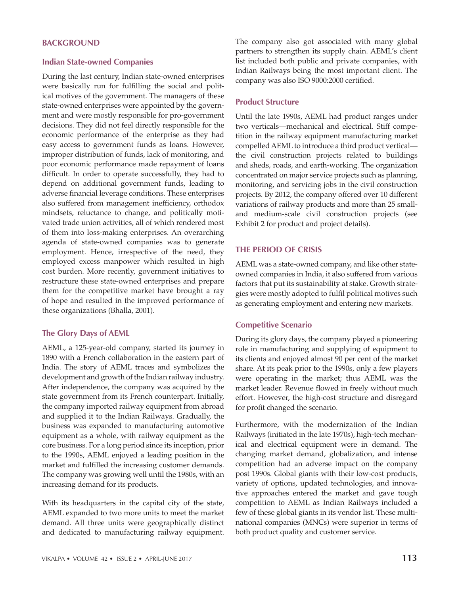# **BACKGROUND**

#### **Indian State-owned Companies**

During the last century, Indian state-owned enterprises were basically run for fulfilling the social and political motives of the government. The managers of these state-owned enterprises were appointed by the government and were mostly responsible for pro-government decisions. They did not feel directly responsible for the economic performance of the enterprise as they had easy access to government funds as loans. However, improper distribution of funds, lack of monitoring, and poor economic performance made repayment of loans difficult. In order to operate successfully, they had to depend on additional government funds, leading to adverse financial leverage conditions. These enterprises also suffered from management inefficiency, orthodox mindsets, reluctance to change, and politically motivated trade union activities, all of which rendered most of them into loss-making enterprises. An overarching agenda of state-owned companies was to generate employment. Hence, irrespective of the need, they employed excess manpower which resulted in high cost burden. More recently, government initiatives to restructure these state-owned enterprises and prepare them for the competitive market have brought a ray of hope and resulted in the improved performance of these organizations (Bhalla, 2001).

# **The Glory Days of AEML**

AEML, a 125-year-old company, started its journey in 1890 with a French collaboration in the eastern part of India. The story of AEML traces and symbolizes the development and growth of the Indian railway industry. After independence, the company was acquired by the state government from its French counterpart. Initially, the company imported railway equipment from abroad and supplied it to the Indian Railways. Gradually, the business was expanded to manufacturing automotive equipment as a whole, with railway equipment as the core business. For a long period since its inception, prior to the 1990s, AEML enjoyed a leading position in the market and fulfilled the increasing customer demands. The company was growing well until the 1980s, with an increasing demand for its products.

With its headquarters in the capital city of the state, AEML expanded to two more units to meet the market demand. All three units were geographically distinct and dedicated to manufacturing railway equipment.

The company also got associated with many global partners to strengthen its supply chain. AEML's client list included both public and private companies, with Indian Railways being the most important client. The company was also ISO 9000:2000 certified.

#### **Product Structure**

Until the late 1990s, AEML had product ranges under two verticals—mechanical and electrical. Stiff competition in the railway equipment manufacturing market compelled AEML to introduce a third product vertical the civil construction projects related to buildings and sheds, roads, and earth-working. The organization concentrated on major service projects such as planning, monitoring, and servicing jobs in the civil construction projects. By 2012, the company offered over 10 different variations of railway products and more than 25 smalland medium-scale civil construction projects (see Exhibit 2 for product and project details).

# **THE PERIOD OF CRISIS**

AEML was a state-owned company, and like other stateowned companies in India, it also suffered from various factors that put its sustainability at stake. Growth strategies were mostly adopted to fulfil political motives such as generating employment and entering new markets.

#### **Competitive Scenario**

During its glory days, the company played a pioneering role in manufacturing and supplying of equipment to its clients and enjoyed almost 90 per cent of the market share. At its peak prior to the 1990s, only a few players were operating in the market; thus AEML was the market leader. Revenue flowed in freely without much effort. However, the high-cost structure and disregard for profit changed the scenario.

Furthermore, with the modernization of the Indian Railways (initiated in the late 1970s), high-tech mechanical and electrical equipment were in demand. The changing market demand, globalization, and intense competition had an adverse impact on the company post 1990s. Global giants with their low-cost products, variety of options, updated technologies, and innovative approaches entered the market and gave tough competition to AEML as Indian Railways included a few of these global giants in its vendor list. These multinational companies (MNCs) were superior in terms of both product quality and customer service.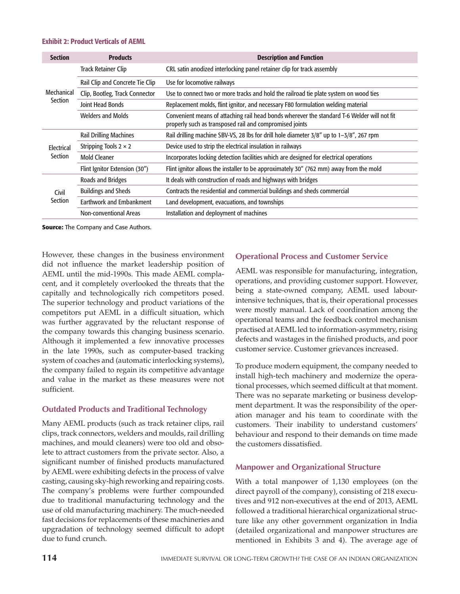#### Exhibit 2: Product Verticals of AEML

| <b>Section</b>        | <b>Products</b>                 | <b>Description and Function</b>                                                                                                                        |  |  |  |
|-----------------------|---------------------------------|--------------------------------------------------------------------------------------------------------------------------------------------------------|--|--|--|
|                       | Track Retainer Clip             | CRL satin anodized interlocking panel retainer clip for track assembly                                                                                 |  |  |  |
| Mechanical<br>Section | Rail Clip and Concrete Tie Clip | Use for locomotive railways                                                                                                                            |  |  |  |
|                       | Clip, Bootleg, Track Connector  | Use to connect two or more tracks and hold the railroad tie plate system on wood ties                                                                  |  |  |  |
|                       | <b>Joint Head Bonds</b>         | Replacement molds, flint ignitor, and necessary F80 formulation welding material                                                                       |  |  |  |
|                       | <b>Welders and Molds</b>        | Convenient means of attaching rail head bonds wherever the standard T-6 Welder will not fit<br>properly such as transposed rail and compromised joints |  |  |  |
|                       | <b>Rail Drilling Machines</b>   | Rail drilling machine SBV-VS, 28 lbs for drill hole diameter 3/8" up to 1-3/8", 267 rpm                                                                |  |  |  |
| Electrical<br>Section | Stripping Tools $2 \times 2$    | Device used to strip the electrical insulation in railways                                                                                             |  |  |  |
|                       | <b>Mold Cleaner</b>             | Incorporates locking detection facilities which are designed for electrical operations                                                                 |  |  |  |
|                       | Flint Ignitor Extension (30")   | Flint ignitor allows the installer to be approximately 30" (762 mm) away from the mold                                                                 |  |  |  |
|                       | Roads and Bridges               | It deals with construction of roads and highways with bridges                                                                                          |  |  |  |
| Civil<br>Section      | <b>Buildings and Sheds</b>      | Contracts the residential and commercial buildings and sheds commercial                                                                                |  |  |  |
|                       | <b>Earthwork and Embankment</b> | Land development, evacuations, and townships                                                                                                           |  |  |  |
|                       | Non-conventional Areas          | Installation and deployment of machines                                                                                                                |  |  |  |

**Source:** The Company and Case Authors.

However, these changes in the business environment did not influence the market leadership position of AEML until the mid-1990s. This made AEML complacent, and it completely overlooked the threats that the capitally and technologically rich competitors posed. The superior technology and product variations of the competitors put AEML in a difficult situation, which was further aggravated by the reluctant response of the company towards this changing business scenario. Although it implemented a few innovative processes in the late 1990s, such as computer-based tracking system of coaches and (automatic interlocking systems), the company failed to regain its competitive advantage and value in the market as these measures were not sufficient.

# **Outdated Products and Traditional Technology**

Many AEML products (such as track retainer clips, rail clips, track connectors, welders and moulds, rail drilling machines, and mould cleaners) were too old and obsolete to attract customers from the private sector. Also, a significant number of finished products manufactured by AEML were exhibiting defects in the process of valve casting, causing sky-high reworking and repairing costs. The company's problems were further compounded due to traditional manufacturing technology and the use of old manufacturing machinery. The much-needed fast decisions for replacements of these machineries and upgradation of technology seemed difficult to adopt due to fund crunch.

# **Operational Process and Customer Service**

AEML was responsible for manufacturing, integration, operations, and providing customer support. However, being a state-owned company, AEML used labourintensive techniques, that is, their operational processes were mostly manual. Lack of coordination among the operational teams and the feedback control mechanism practised at AEML led to information-asymmetry, rising defects and wastages in the finished products, and poor customer service. Customer grievances increased.

To produce modern equipment, the company needed to install high-tech machinery and modernize the operational processes, which seemed difficult at that moment. There was no separate marketing or business development department. It was the responsibility of the operation manager and his team to coordinate with the customers. Their inability to understand customers' behaviour and respond to their demands on time made the customers dissatisfied.

# **Manpower and Organizational Structure**

With a total manpower of 1,130 employees (on the direct payroll of the company), consisting of 218 executives and 912 non-executives at the end of 2013, AEML followed a traditional hierarchical organizational structure like any other government organization in India (detailed organizational and manpower structures are mentioned in Exhibits 3 and 4). The average age of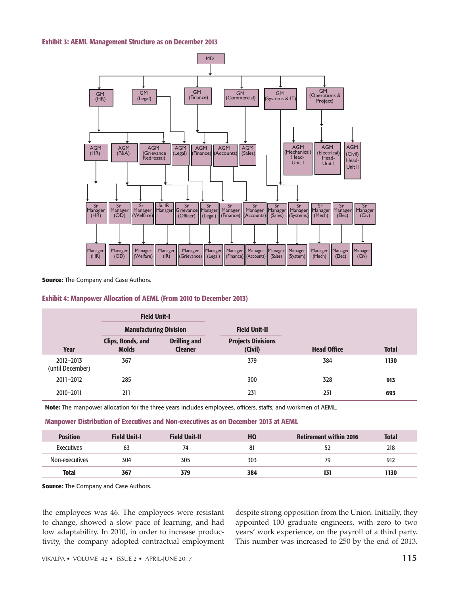#### Exhibit 3: AEML Management Structure as on December 2013



**Source:** The Company and Case Authors.

#### Exhibit 4: Manpower Allocation of AEML (From 2010 to December 2013)

| <b>Field Unit-I</b>           |                                   |                                       |                                      |                    |              |
|-------------------------------|-----------------------------------|---------------------------------------|--------------------------------------|--------------------|--------------|
|                               | <b>Manufacturing Division</b>     |                                       | <b>Field Unit-II</b>                 |                    |              |
| <b>Year</b>                   | Clips, Bonds, and<br><b>Molds</b> | <b>Drilling and</b><br><b>Cleaner</b> | <b>Projects Divisions</b><br>(Civil) | <b>Head Office</b> | <b>Total</b> |
| 2012-2013<br>(until December) | 367                               |                                       | 379                                  | 384                | 1130         |
| 2011-2012                     | 285                               |                                       | 300                                  | 328                | 913          |
| 2010-2011                     | 211                               |                                       | 231                                  | 251                | 693          |

**Note:** The manpower allocation for the three years includes employees, officers, staffs, and workmen of AEML.

#### Manpower Distribution of Executives and Non-executives as on December 2013 at AEML

| <b>Position</b> | <b>Field Unit-I</b> | <b>Field Unit-II</b> | HO  | <b>Retirement within 2016</b> | <b>Total</b> |
|-----------------|---------------------|----------------------|-----|-------------------------------|--------------|
| Executives      | 63                  | 74                   | 81  |                               | 218          |
| Non-executives  | 304                 | 305                  | 303 | 79                            | 912          |
| <b>Total</b>    | 367                 | 379                  | 384 | 131                           | 1130         |

**Source:** The Company and Case Authors.

the employees was 46. The employees were resistant to change, showed a slow pace of learning, and had low adaptability. In 2010, in order to increase productivity, the company adopted contractual employment despite strong opposition from the Union. Initially, they appointed 100 graduate engineers, with zero to two years' work experience, on the payroll of a third party. This number was increased to 250 by the end of 2013.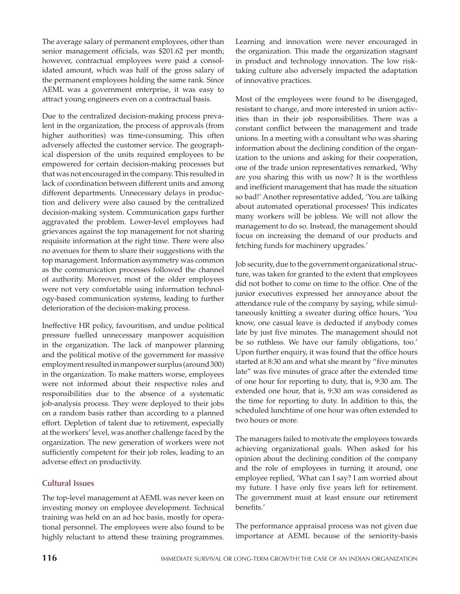The average salary of permanent employees, other than senior management officials, was \$201.62 per month; however, contractual employees were paid a consolidated amount, which was half of the gross salary of the permanent employees holding the same rank. Since AEML was a government enterprise, it was easy to attract young engineers even on a contractual basis.

Due to the centralized decision-making process prevalent in the organization, the process of approvals (from higher authorities) was time-consuming. This often adversely affected the customer service. The geographical dispersion of the units required employees to be empowered for certain decision-making processes but that was not encouraged in the company. This resulted in lack of coordination between different units and among different departments. Unnecessary delays in production and delivery were also caused by the centralized decision-making system. Communication gaps further aggravated the problem. Lower-level employees had grievances against the top management for not sharing requisite information at the right time. There were also no avenues for them to share their suggestions with the top management. Information asymmetry was common as the communication processes followed the channel of authority. Moreover, most of the older employees were not very comfortable using information technology-based communication systems, leading to further deterioration of the decision-making process.

Ineffective HR policy, favouritism, and undue political pressure fuelled unnecessary manpower acquisition in the organization. The lack of manpower planning and the political motive of the government for massive employment resulted in manpower surplus (around 300) in the organization. To make matters worse, employees were not informed about their respective roles and responsibilities due to the absence of a systematic job-analysis process. They were deployed to their jobs on a random basis rather than according to a planned effort. Depletion of talent due to retirement, especially at the workers' level, was another challenge faced by the organization. The new generation of workers were not sufficiently competent for their job roles, leading to an adverse effect on productivity.

# **Cultural Issues**

The top-level management at AEML was never keen on investing money on employee development. Technical training was held on an ad hoc basis, mostly for operational personnel. The employees were also found to be highly reluctant to attend these training programmes. Learning and innovation were never encouraged in the organization. This made the organization stagnant in product and technology innovation. The low risktaking culture also adversely impacted the adaptation of innovative practices.

Most of the employees were found to be disengaged, resistant to change, and more interested in union activities than in their job responsibilities. There was a constant conflict between the management and trade unions. In a meeting with a consultant who was sharing information about the declining condition of the organization to the unions and asking for their cooperation, one of the trade union representatives remarked, 'Why are you sharing this with us now? It is the worthless and inefficient management that has made the situation so bad!' Another representative added, 'You are talking about automated operational processes! This indicates many workers will be jobless. We will not allow the management to do so. Instead, the management should focus on increasing the demand of our products and fetching funds for machinery upgrades.'

Job security, due to the government organizational structure, was taken for granted to the extent that employees did not bother to come on time to the office. One of the junior executives expressed her annoyance about the attendance rule of the company by saying, while simultaneously knitting a sweater during office hours, 'You know, one casual leave is deducted if anybody comes late by just five minutes. The management should not be so ruthless. We have our family obligations, too.' Upon further enquiry, it was found that the office hours started at 8:30 am and what she meant by "five minutes late" was five minutes of grace after the extended time of one hour for reporting to duty, that is, 9:30 am. The extended one hour, that is, 9:30 am was considered as the time for reporting to duty. In addition to this, the scheduled lunchtime of one hour was often extended to two hours or more.

The managers failed to motivate the employees towards achieving organizational goals. When asked for his opinion about the declining condition of the company and the role of employees in turning it around, one employee replied, 'What can I say? I am worried about my future. I have only five years left for retirement. The government must at least ensure our retirement benefits.'

The performance appraisal process was not given due importance at AEML because of the seniority-basis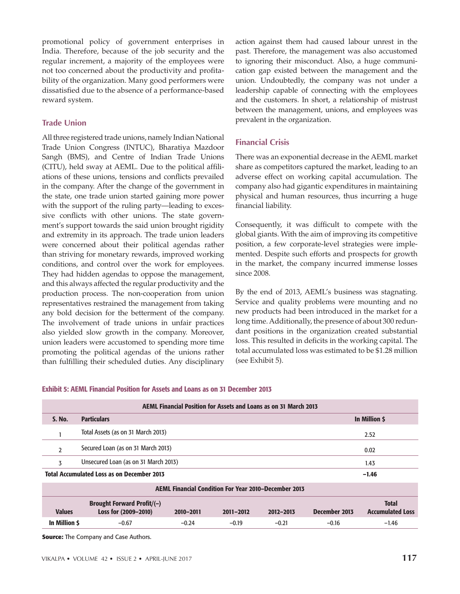promotional policy of government enterprises in India. Therefore, because of the job security and the regular increment, a majority of the employees were not too concerned about the productivity and profitability of the organization. Many good performers were dissatisfied due to the absence of a performance-based reward system.

# **Trade Union**

All three registered trade unions, namely Indian National Trade Union Congress (INTUC), Bharatiya Mazdoor Sangh (BMS), and Centre of Indian Trade Unions (CITU), held sway at AEML. Due to the political affiliations of these unions, tensions and conflicts prevailed in the company. After the change of the government in the state, one trade union started gaining more power with the support of the ruling party—leading to excessive conflicts with other unions. The state government's support towards the said union brought rigidity and extremity in its approach. The trade union leaders were concerned about their political agendas rather than striving for monetary rewards, improved working conditions, and control over the work for employees. They had hidden agendas to oppose the management, and this always affected the regular productivity and the production process. The non-cooperation from union representatives restrained the management from taking any bold decision for the betterment of the company. The involvement of trade unions in unfair practices also yielded slow growth in the company. Moreover, union leaders were accustomed to spending more time promoting the political agendas of the unions rather than fulfilling their scheduled duties. Any disciplinary

action against them had caused labour unrest in the past. Therefore, the management was also accustomed to ignoring their misconduct. Also, a huge communication gap existed between the management and the union. Undoubtedly, the company was not under a leadership capable of connecting with the employees and the customers. In short, a relationship of mistrust between the management, unions, and employees was prevalent in the organization.

# **Financial Crisis**

There was an exponential decrease in the AEML market share as competitors captured the market, leading to an adverse effect on working capital accumulation. The company also had gigantic expenditures in maintaining physical and human resources, thus incurring a huge financial liability.

Consequently, it was difficult to compete with the global giants. With the aim of improving its competitive position, a few corporate-level strategies were implemented. Despite such efforts and prospects for growth in the market, the company incurred immense losses since 2008.

By the end of 2013, AEML's business was stagnating. Service and quality problems were mounting and no new products had been introduced in the market for a long time. Additionally, the presence of about 300 redundant positions in the organization created substantial loss. This resulted in deficits in the working capital. The total accumulated loss was estimated to be \$1.28 million (see Exhibit 5).

| <b>AEML Financial Position for Assets and Loans as on 31 March 2013</b> |                                                           |           |               |           |               |                                         |  |
|-------------------------------------------------------------------------|-----------------------------------------------------------|-----------|---------------|-----------|---------------|-----------------------------------------|--|
| <b>S. No.</b>                                                           | <b>Particulars</b>                                        |           |               |           |               | In Million \$                           |  |
|                                                                         | Total Assets (as on 31 March 2013)                        |           |               |           |               | 2.52                                    |  |
| Secured Loan (as on 31 March 2013)<br>$\overline{2}$<br>0.02            |                                                           |           |               |           |               |                                         |  |
| 3                                                                       | Unsecured Loan (as on 31 March 2013)                      |           |               |           |               | 1.43                                    |  |
| <b>Total Accumulated Loss as on December 2013</b><br>$-1.46$            |                                                           |           |               |           |               |                                         |  |
| <b>AEML Financial Condition For Year 2010-December 2013</b>             |                                                           |           |               |           |               |                                         |  |
| <b>Values</b>                                                           | <b>Brought Forward Profit/(-)</b><br>Loss for (2009-2010) | 2010-2011 | $2011 - 2012$ | 2012-2013 | December 2013 | <b>Total</b><br><b>Accumulated Loss</b> |  |
| In Million S                                                            | $-0.67$                                                   | $-0.24$   | $-0.19$       | $-0.21$   | $-0.16$       | $-1.46$                                 |  |

#### Exhibit 5: AEML Financial Position for Assets and Loans as on 31 December 2013

**Source:** The Company and Case Authors.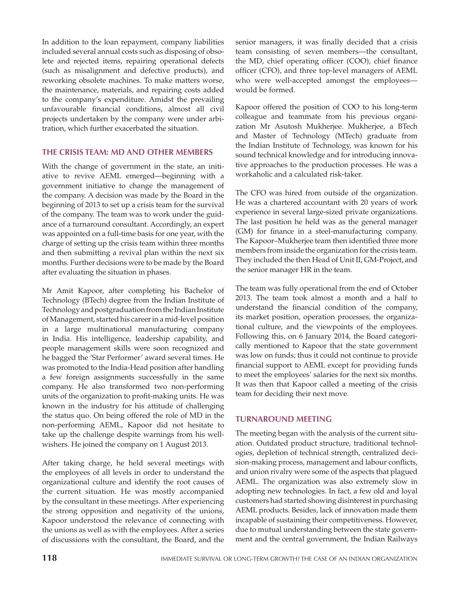In addition to the loan repayment, company liabilities included several annual costs such as disposing of obsolete and rejected items, repairing operational defects (such as misalignment and defective products), and reworking obsolete machines. To make matters worse, the maintenance, materials, and repairing costs added to the company's expenditure. Amidst the prevailing unfavourable financial conditions, almost all civil projects undertaken by the company were under arbitration, which further exacerbated the situation.

# **THE CRISIS TEAM: MD AND OTHER MEMBERS**

With the change of government in the state, an initiative to revive AEML emerged—beginning with a government initiative to change the management of the company. A decision was made by the Board in the beginning of 2013 to set up a crisis team for the survival of the company. The team was to work under the guidance of a turnaround consultant. Accordingly, an expert was appointed on a full-time basis for one year, with the charge of setting up the crisis team within three months and then submitting a revival plan within the next six months. Further decisions were to be made by the Board after evaluating the situation in phases.

Mr Amit Kapoor, after completing his Bachelor of Technology (BTech) degree from the Indian Institute of Technology and postgraduation from the Indian Institute of Management, started his career in a mid-level position in a large multinational manufacturing company in India. His intelligence, leadership capability, and people management skills were soon recognized and he bagged the 'Star Performer' award several times. He was promoted to the India-Head position after handling a few foreign assignments successfully in the same company. He also transformed two non-performing units of the organization to profit-making units. He was known in the industry for his attitude of challenging the status quo. On being offered the role of MD in the non-performing AEML, Kapoor did not hesitate to take up the challenge despite warnings from his wellwishers. He joined the company on 1 August 2013.

After taking charge, he held several meetings with the employees of all levels in order to understand the organizational culture and identify the root causes of the current situation. He was mostly accompanied by the consultant in these meetings. After experiencing the strong opposition and negativity of the unions, Kapoor understood the relevance of connecting with the unions as well as with the employees. After a series of discussions with the consultant, the Board, and the

senior managers, it was finally decided that a crisis team consisting of seven members—the consultant, the MD, chief operating officer (COO), chief finance officer (CFO), and three top-level managers of AEML who were well-accepted amongst the employees would be formed.

Kapoor offered the position of COO to his long-term colleague and teammate from his previous organization Mr Asutosh Mukherjee. Mukherjee, a BTech and Master of Technology (MTech) graduate from the Indian Institute of Technology, was known for his sound technical knowledge and for introducing innovative approaches to the production processes. He was a workaholic and a calculated risk-taker.

The CFO was hired from outside of the organization. He was a chartered accountant with 20 years of work experience in several large-sized private organizations. The last position he held was as the general manager (GM) for finance in a steel-manufacturing company. The Kapoor–Mukherjee team then identified three more members from inside the organization for the crisis team. They included the then Head of Unit II, GM-Project, and the senior manager HR in the team.

The team was fully operational from the end of October 2013. The team took almost a month and a half to understand the financial condition of the company, its market position, operation processes, the organizational culture, and the viewpoints of the employees. Following this, on 6 January 2014, the Board categorically mentioned to Kapoor that the state government was low on funds; thus it could not continue to provide financial support to AEML except for providing funds to meet the employees' salaries for the next six months. It was then that Kapoor called a meeting of the crisis team for deciding their next move.

# **TURNAROUND MEETING**

The meeting began with the analysis of the current situation. Outdated product structure, traditional technologies, depletion of technical strength, centralized decision-making process, management and labour conflicts, and union rivalry were some of the aspects that plagued AEML. The organization was also extremely slow in adopting new technologies. In fact, a few old and loyal customers had started showing disinterest in purchasing AEML products. Besides, lack of innovation made them incapable of sustaining their competitiveness. However, due to mutual understanding between the state government and the central government, the Indian Railways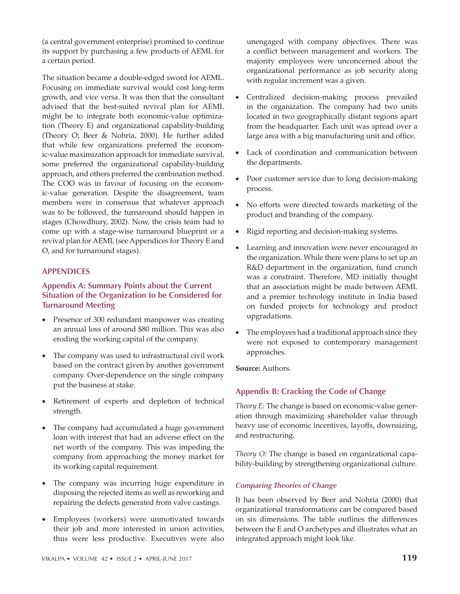(a central government enterprise) promised to continue its support by purchasing a few products of AEML for a certain period.

The situation became a double-edged sword for AEML. Focusing on immediate survival would cost long-term growth, and vice versa. It was then that the consultant advised that the best-suited revival plan for AEML might be to integrate both economic-value optimization (Theory E) and organizational capability-building (Theory O; Beer & Nohria, 2000). He further added that while few organizations preferred the economic-value maximization approach for immediate survival, some preferred the organizational capability-building approach, and others preferred the combination method. The COO was in favour of focusing on the economic-value generation. Despite the disagreement, team members were in consensus that whatever approach was to be followed, the turnaround should happen in stages (Chowdhury, 2002). Now, the crisis team had to come up with a stage-wise turnaround blueprint or a revival plan for AEML (see Appendices for Theory E and O, and for turnaround stages).

# **APPENDICES**

# **Appendix A: Summary Points about the Current Situation of the Organization to be Considered for Turnaround Meeting**

- Presence of 300 redundant manpower was creating an annual loss of around \$80 million. This was also eroding the working capital of the company.
- The company was used to infrastructural civil work based on the contract given by another government company. Over-dependence on the single company put the business at stake.
- Retirement of experts and depletion of technical strength.
- The company had accumulated a huge government loan with interest that had an adverse effect on the net worth of the company. This was impeding the company from approaching the money market for its working capital requirement.
- The company was incurring huge expenditure in disposing the rejected items as well as reworking and repairing the defects generated from valve castings.
- Employees (workers) were unmotivated towards their job and more interested in union activities, thus were less productive. Executives were also

unengaged with company objectives. There was a conflict between management and workers. The majority employees were unconcerned about the organizational performance as job security along with regular increment was a given.

- · Centralized decision-making process prevailed in the organization. The company had two units located in two geographically distant regions apart from the headquarter. Each unit was spread over a large area with a big manufacturing unit and office.
- · Lack of coordination and communication between the departments.
- · Poor customer service due to long decision-making process.
- · No efforts were directed towards marketing of the product and branding of the company.
- · Rigid reporting and decision-making systems.
- Learning and innovation were never encouraged in the organization. While there were plans to set up an R&D department in the organization, fund crunch was a constraint. Therefore, MD initially thought that an association might be made between AEML and a premier technology institute in India based on funded projects for technology and product upgradations.
- · The employees had a traditional approach since they were not exposed to contemporary management approaches.

# **Source:** Authors.

# **Appendix B: Cracking the Code of Change**

*Theory E:* The change is based on economic-value generation through maximizing shareholder value through heavy use of economic incentives, layoffs, downsizing, and restructuring.

*Theory O:* The change is based on organizational capability-building by strengthening organizational culture.

# *Comparing Theories of Change*

It has been observed by Beer and Nohria (2000) that organizational transformations can be compared based on six dimensions. The table outlines the differences between the E and O archetypes and illustrates what an integrated approach might look like.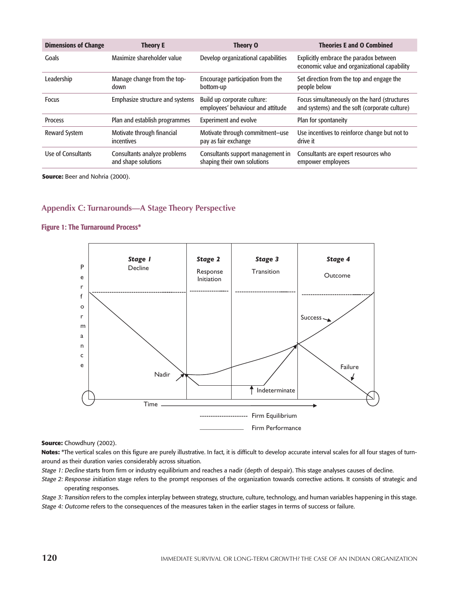| <b>Dimensions of Change</b> | <b>Theory E</b>                                     | <b>Theory O</b>                                                  | <b>Theories E and O Combined</b>                                                              |
|-----------------------------|-----------------------------------------------------|------------------------------------------------------------------|-----------------------------------------------------------------------------------------------|
| Goals                       | Maximize shareholder value                          | Develop organizational capabilities                              | Explicitly embrace the paradox between<br>economic value and organizational capability        |
| Leadership                  | Manage change from the top-<br>down                 | Encourage participation from the<br>bottom-up                    | Set direction from the top and engage the<br>people below                                     |
| <b>Focus</b>                | <b>Emphasize structure and systems</b>              | Build up corporate culture:<br>employees' behaviour and attitude | Focus simultaneously on the hard (structures<br>and systems) and the soft (corporate culture) |
| <b>Process</b>              | Plan and establish programmes                       | <b>Experiment and evolve</b>                                     | Plan for spontaneity                                                                          |
| <b>Reward System</b>        | Motivate through financial<br>incentives            | Motivate through commitment-use<br>pay as fair exchange          | Use incentives to reinforce change but not to<br>drive it                                     |
| Use of Consultants          | Consultants analyze problems<br>and shape solutions | Consultants support management in<br>shaping their own solutions | Consultants are expert resources who<br>empower employees                                     |

**Source:** Beer and Nohria (2000).

# **Appendix C: Turnarounds—A Stage Theory Perspective**

# Figure 1: The Turnaround Process\*



**Source:** Chowdhury (2002).

**Notes:** \*The vertical scales on this figure are purely illustrative. In fact, it is difficult to develop accurate interval scales for all four stages of turnaround as their duration varies considerably across situation.

Stage 1: Decline starts from firm or industry equilibrium and reaches a nadir (depth of despair). This stage analyses causes of decline.

Stage 2: Response initiation stage refers to the prompt responses of the organization towards corrective actions. It consists of strategic and operating responses.

Stage 3: Transition refers to the complex interplay between strategy, structure, culture, technology, and human variables happening in this stage. Stage 4: Outcome refers to the consequences of the measures taken in the earlier stages in terms of success or failure.